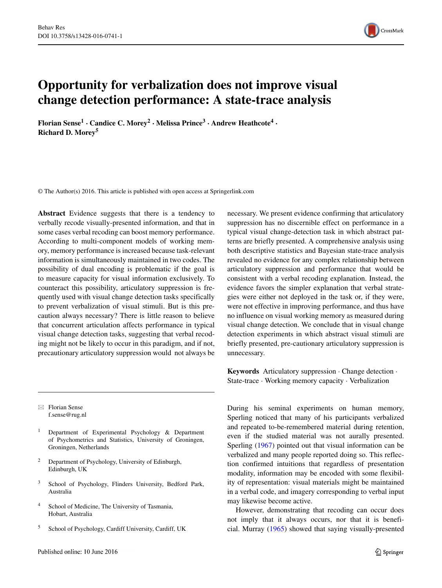

# **Opportunity for verbalization does not improve visual change detection performance: A state-trace analysis**

**Florian Sense1 · Candice C. Morey<sup>2</sup> · Melissa Prince<sup>3</sup> · Andrew Heathcote4 · Richard D. Morey<sup>5</sup>**

© The Author(s) 2016. This article is published with open access at Springerlink.com

**Abstract** Evidence suggests that there is a tendency to verbally recode visually-presented information, and that in some cases verbal recoding can boost memory performance. According to multi-component models of working memory, memory performance is increased because task-relevant information is simultaneously maintained in two codes. The possibility of dual encoding is problematic if the goal is to measure capacity for visual information exclusively. To counteract this possibility, articulatory suppression is frequently used with visual change detection tasks specifically to prevent verbalization of visual stimuli. But is this precaution always necessary? There is little reason to believe that concurrent articulation affects performance in typical visual change detection tasks, suggesting that verbal recoding might not be likely to occur in this paradigm, and if not, precautionary articulatory suppression would not always be

- Florian Sense [f.sense@rug.nl](mailto:f.sense@rug.nl)

- <sup>1</sup> Department of Experimental Psychology & Department of Psychometrics and Statistics, University of Groningen, Groningen, Netherlands
- <sup>2</sup> Department of Psychology, University of Edinburgh, Edinburgh, UK
- <sup>3</sup> School of Psychology, Flinders University, Bedford Park, Australia
- <sup>4</sup> School of Medicine, The University of Tasmania, Hobart, Australia
- <sup>5</sup> School of Psychology, Cardiff University, Cardiff, UK

necessary. We present evidence confirming that articulatory suppression has no discernible effect on performance in a typical visual change-detection task in which abstract patterns are briefly presented. A comprehensive analysis using both descriptive statistics and Bayesian state-trace analysis revealed no evidence for any complex relationship between articulatory suppression and performance that would be consistent with a verbal recoding explanation. Instead, the evidence favors the simpler explanation that verbal strategies were either not deployed in the task or, if they were, were not effective in improving performance, and thus have no influence on visual working memory as measured during visual change detection. We conclude that in visual change detection experiments in which abstract visual stimuli are briefly presented, pre-cautionary articulatory suppression is unnecessary.

**Keywords** Articulatory suppression · Change detection · State-trace · Working memory capacity · Verbalization

During his seminal experiments on human memory, Sperling noticed that many of his participants verbalized and repeated to-be-remembered material during retention, even if the studied material was not aurally presented. Sperling [\(1967\)](#page-9-0) pointed out that visual information can be verbalized and many people reported doing so. This reflection confirmed intuitions that regardless of presentation modality, information may be encoded with some flexibility of representation: visual materials might be maintained in a verbal code, and imagery corresponding to verbal input may likewise become active.

However, demonstrating that recoding can occur does not imply that it always occurs, nor that it is beneficial. Murray [\(1965\)](#page-9-1) showed that saying visually-presented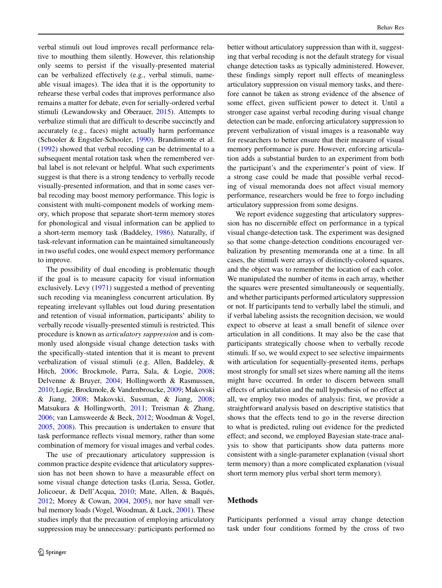verbal stimuli out loud improves recall performance relative to mouthing them silently. However, this relationship only seems to persist if the visually-presented material can be verbalized effectively (e.g., verbal stimuli, nameable visual images). The idea that it is the opportunity to rehearse these verbal codes that improves performance also remains a matter for debate, even for serially-ordered verbal stimuli (Lewandowsky and Oberauer, [2015\)](#page-9-2). Attempts to verbalize stimuli that are difficult to describe succinctly and accurately (e.g., faces) might actually harm performance (Schooler & Engstler-Schooler, [1990\)](#page-9-3). Brandimonte et al. [\(1992\)](#page-8-0) showed that verbal recoding can be detrimental to a subsequent mental rotation task when the remembered verbal label is not relevant or helpful. What such experiments suggest is that there is a strong tendency to verbally recode visually-presented information, and that in some cases verbal recoding may boost memory performance. This logic is consistent with multi-component models of working memory, which propose that separate short-term memory stores for phonological and visual information can be applied to a short-term memory task (Baddeley, [1986\)](#page-8-1). Naturally, if task-relevant information can be maintained simultaneously in two useful codes, one would expect memory performance to improve.

The possibility of dual encoding is problematic though if the goal is to measure capacity for visual information exclusively. Levy [\(1971\)](#page-9-4) suggested a method of preventing such recoding via meaningless concurrent articulation. By repeating irrelevant syllables out loud during presentation and retention of visual information, participants' ability to verbally recode visually-presented stimuli is restricted. This procedure is known as *articulatory suppression* and is commonly used alongside visual change detection tasks with the specifically-stated intention that it is meant to prevent verbalization of visual stimuli (e.g. Allen, Baddeley, & Hitch, [2006;](#page-8-2) Brockmole, Parra, Sala, & Logie, [2008;](#page-8-3) Delvenne & Bruyer, [2004;](#page-8-4) Hollingworth & Rasmussen, [2010;](#page-8-5) Logie, Brockmole, & Vandenbroucke, [2009;](#page-9-5) Makovski & Jiang, [2008;](#page-9-6) Makovski, Sussman, & Jiang, [2008;](#page-9-7) Matsukura & Hollingworth, [2011;](#page-9-8) Treisman & Zhang, [2006;](#page-9-9) van Lamsweerde & Beck, [2012;](#page-9-10) Woodman & Vogel, [2005,](#page-9-11) [2008\)](#page-9-12). This precaution is undertaken to ensure that task performance reflects visual memory, rather than some combination of memory for visual images and verbal codes.

The use of precautionary articulatory suppression is common practice despite evidence that articulatory suppression has not been shown to have a measurable effect on some visual change detection tasks (Luria, Sessa, Gotler, Jolicoeur, & Dell'Acqua, [2010;](#page-9-13) Mate, Allen, & Baqués, [2012;](#page-9-14) Morey & Cowan, [2004,](#page-9-15) [2005\)](#page-9-16), nor have small verbal memory loads (Vogel, Woodman, & Luck, [2001\)](#page-9-17). These studies imply that the precaution of employing articulatory suppression may be unnecessary: participants performed no better without articulatory suppression than with it, suggesting that verbal recoding is not the default strategy for visual change detection tasks as typically administered. However, these findings simply report null effects of meaningless articulatory suppression on visual memory tasks, and therefore cannot be taken as strong evidence of the absence of some effect, given sufficient power to detect it. Until a stronger case against verbal recoding during visual change detection can be made, enforcing articulatory suppression to prevent verbalization of visual images is a reasonable way for researchers to better ensure that their measure of visual memory performance is pure. However, enforcing articulation adds a substantial burden to an experiment from both the participant's and the experimenter's point of view. If a strong case could be made that possible verbal recoding of visual memoranda does not affect visual memory performance, researchers would be free to forgo including articulatory suppression from some designs.

We report evidence suggesting that articulatory suppression has no discernible effect on performance in a typical visual change-detection task. The experiment was designed so that some change-detection conditions encouraged verbalization by presenting memoranda one at a time. In all cases, the stimuli were arrays of distinctly-colored squares, and the object was to remember the location of each color. We manipulated the number of items in each array, whether the squares were presented simultaneously or sequentially, and whether participants performed articulatory suppression or not. If participants tend to verbally label the stimuli, and if verbal labeling assists the recognition decision, we would expect to observe at least a small benefit of silence over articulation in all conditions. It may also be the case that participants strategically choose when to verbally recode stimuli. If so, we would expect to see selective impairments with articulation for sequentially-presented items, perhaps most strongly for small set sizes where naming all the items might have occurred. In order to discern between small effects of articulation and the null hypothesis of no effect at all, we employ two modes of analysis: first, we provide a straightforward analysis based on descriptive statistics that shows that the effects tend to go in the reverse direction to what is predicted, ruling out evidence for the predicted effect; and second, we employed Bayesian state-trace analysis to show that participants show data patterns more consistent with a single-parameter explanation (visual short term memory) than a more complicated explanation (visual short term memory plus verbal short term memory).

## **Methods**

Participants performed a visual array change detection task under four conditions formed by the cross of two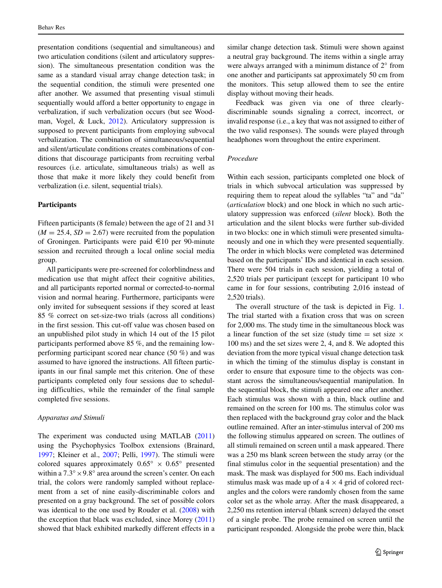presentation conditions (sequential and simultaneous) and two articulation conditions (silent and articulatory suppression). The simultaneous presentation condition was the same as a standard visual array change detection task; in the sequential condition, the stimuli were presented one after another. We assumed that presenting visual stimuli sequentially would afford a better opportunity to engage in verbalization, if such verbalization occurs (but see Woodman, Vogel, & Luck, [2012\)](#page-9-18). Articulatory suppression is supposed to prevent participants from employing subvocal verbalization. The combination of simultaneous/sequential and silent/articulate conditions creates combinations of conditions that discourage participants from recruiting verbal resources (i.e. articulate, simultaneous trials) as well as those that make it more likely they could benefit from verbalization (i.e. silent, sequential trials).

## **Participants**

Fifteen participants (8 female) between the age of 21 and 31  $(M = 25.4, SD = 2.67)$  were recruited from the population of Groningen. Participants were paid  $\in$ 10 per 90-minute session and recruited through a local online social media group.

All participants were pre-screened for colorblindness and medication use that might affect their cognitive abilities, and all participants reported normal or corrected-to-normal vision and normal hearing. Furthermore, participants were only invited for subsequent sessions if they scored at least 85 % correct on set-size-two trials (across all conditions) in the first session. This cut-off value was chosen based on an unpublished pilot study in which 14 out of the 15 pilot participants performed above 85 %, and the remaining lowperforming participant scored near chance (50 %) and was assumed to have ignored the instructions. All fifteen participants in our final sample met this criterion. One of these participants completed only four sessions due to scheduling difficulties, while the remainder of the final sample completed five sessions.

#### *Apparatus and Stimuli*

The experiment was conducted using MATLAB [\(2011\)](#page-9-19) using the Psychophysics Toolbox extensions (Brainard, [1997;](#page-8-6) Kleiner et al., [2007;](#page-9-20) Pelli, [1997\)](#page-9-21). The stimuli were colored squares approximately  $0.65° \times 0.65°$  presented within a 7*.*3◦×9*.*8◦ area around the screen's center. On each trial, the colors were randomly sampled without replacement from a set of nine easily-discriminable colors and presented on a gray background. The set of possible colors was identical to the one used by Rouder et al. [\(2008\)](#page-9-22) with the exception that black was excluded, since Morey [\(2011\)](#page-9-23) showed that black exhibited markedly different effects in a similar change detection task. Stimuli were shown against a neutral gray background. The items within a single array were always arranged with a minimum distance of 2◦ from one another and participants sat approximately 50 cm from the monitors. This setup allowed them to see the entire display without moving their heads.

Feedback was given via one of three clearlydiscriminable sounds signaling a correct, incorrect, or invalid response (i.e., a key that was not assigned to either of the two valid responses). The sounds were played through headphones worn throughout the entire experiment.

#### *Procedure*

Within each session, participants completed one block of trials in which subvocal articulation was suppressed by requiring them to repeat aloud the syllables "ta" and "da" (*articulation* block) and one block in which no such articulatory suppression was enforced (*silent* block). Both the articulation and the silent blocks were further sub-divided in two blocks: one in which stimuli were presented simultaneously and one in which they were presented sequentially. The order in which blocks were completed was determined based on the participants' IDs and identical in each session. There were 504 trials in each session, yielding a total of 2,520 trials per participant (except for participant 10 who came in for four sessions, contributing 2,016 instead of 2,520 trials).

The overall structure of the task is depicted in Fig. [1.](#page-3-0) The trial started with a fixation cross that was on screen for 2,000 ms. The study time in the simultaneous block was a linear function of the set size (study time  $=$  set size  $\times$ 100 ms) and the set sizes were 2, 4, and 8. We adopted this deviation from the more typical visual change detection task in which the timing of the stimulus display is constant in order to ensure that exposure time to the objects was constant across the simultaneous/sequential manipulation. In the sequential block, the stimuli appeared one after another. Each stimulus was shown with a thin, black outline and remained on the screen for 100 ms. The stimulus color was then replaced with the background gray color and the black outline remained. After an inter-stimulus interval of 200 ms the following stimulus appeared on screen. The outlines of all stimuli remained on screen until a mask appeared. There was a 250 ms blank screen between the study array (or the final stimulus color in the sequential presentation) and the mask. The mask was displayed for 500 ms. Each individual stimulus mask was made up of a  $4 \times 4$  grid of colored rectangles and the colors were randomly chosen from the same color set as the whole array. After the mask disappeared, a 2,250 ms retention interval (blank screen) delayed the onset of a single probe. The probe remained on screen until the participant responded. Alongside the probe were thin, black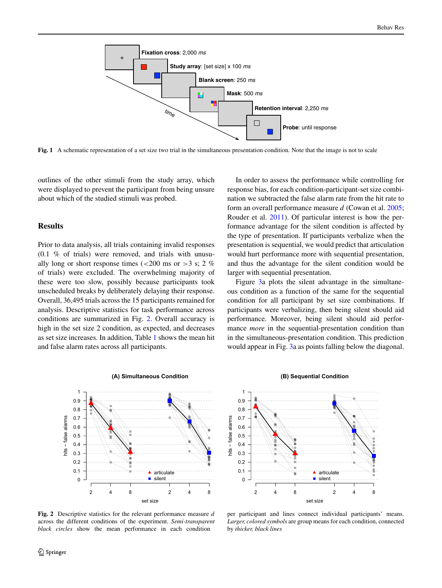<span id="page-3-0"></span>

**Fig. 1** A schematic representation of a set size two trial in the simultaneous presentation condition. Note that the image is not to scale

outlines of the other stimuli from the study array, which were displayed to prevent the participant from being unsure about which of the studied stimuli was probed.

# **Results**

Prior to data analysis, all trials containing invalid responses (0.1 % of trials) were removed, and trials with unusually long or short response times (*<*200 ms or *>*3 s; 2 % of trials) were excluded. The overwhelming majority of these were too slow, possibly because participants took unscheduled breaks by deliberately delaying their response. Overall, 36,495 trials across the 15 participants remained for analysis. Descriptive statistics for task performance across conditions are summarized in Fig. [2.](#page-3-1) Overall accuracy is high in the set size 2 condition, as expected, and decreases as set size increases. In addition, Table [1](#page-4-0) shows the mean hit and false alarm rates across all participants.

In order to assess the performance while controlling for response bias, for each condition-participant-set size combination we subtracted the false alarm rate from the hit rate to form an overall performance measure *d* (Cowan et al. [2005;](#page-8-7) Rouder et al. [2011\)](#page-9-24). Of particular interest is how the performance advantage for the silent condition is affected by the type of presentation. If participants verbalize when the presentation is sequential, we would predict that articulation would hurt performance more with sequential presentation, and thus the advantage for the silent condition would be larger with sequential presentation.

Figure [3a](#page-4-1) plots the silent advantage in the simultaneous condition as a function of the same for the sequential condition for all participant by set size combinations. If participants were verbalizing, then being silent should aid performance. Moreover, being silent should aid performance *more* in the sequential-presentation condition than in the simultaneous-presentation condition. This prediction would appear in Fig. [3a](#page-4-1) as points falling below the diagonal.

<span id="page-3-1"></span>

**Fig. 2** Descriptive statistics for the relevant performance measure *d* across the different conditions of the experiment. *Semi-transparent black circles* show the mean performance in each condition





per participant and lines connect individual participants' means. *Larger, colored symbols* are group means for each condition, connected by *thicker, black lines*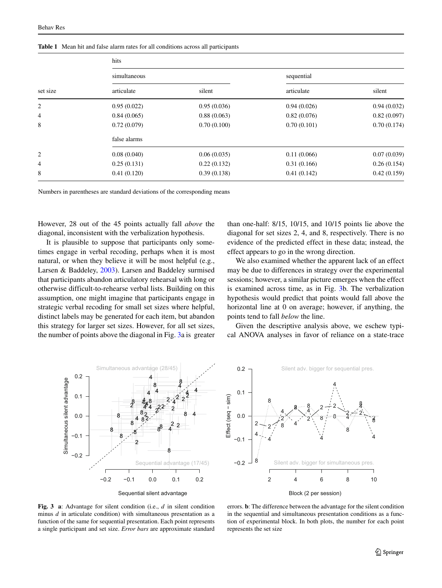| set size       | hits         |             |             |             |
|----------------|--------------|-------------|-------------|-------------|
|                | simultaneous |             | sequential  |             |
|                | articulate   | silent      | articulate  | silent      |
| $\overline{c}$ | 0.95(0.022)  | 0.95(0.036) | 0.94(0.026) | 0.94(0.032) |
| 4              | 0.84(0.065)  | 0.88(0.063) | 0.82(0.076) | 0.82(0.097) |
| 8              | 0.72(0.079)  | 0.70(0.100) | 0.70(0.101) | 0.70(0.174) |
|                | false alarms |             |             |             |
| 2              | 0.08(0.040)  | 0.06(0.035) | 0.11(0.066) | 0.07(0.039) |
| 4              | 0.25(0.131)  | 0.22(0.132) | 0.31(0.166) | 0.26(0.154) |
| 8              | 0.41(0.120)  | 0.39(0.138) | 0.41(0.142) | 0.42(0.159) |

<span id="page-4-0"></span>**Table 1** Mean hit and false alarm rates for all conditions across all participants

Numbers in parentheses are standard deviations of the corresponding means

However, 28 out of the 45 points actually fall *above* the diagonal, inconsistent with the verbalization hypothesis.

It is plausible to suppose that participants only sometimes engage in verbal recoding, perhaps when it is most natural, or when they believe it will be most helpful (e.g., Larsen & Baddeley, [2003\)](#page-9-25). Larsen and Baddeley surmised that participants abandon articulatory rehearsal with long or otherwise difficult-to-rehearse verbal lists. Building on this assumption, one might imagine that participants engage in strategic verbal recoding for small set sizes where helpful, distinct labels may be generated for each item, but abandon this strategy for larger set sizes. However, for all set sizes, the number of points above the diagonal in Fig. [3a](#page-4-1) is greater than one-half: 8/15, 10/15, and 10/15 points lie above the diagonal for set sizes 2, 4, and 8, respectively. There is no evidence of the predicted effect in these data; instead, the effect appears to go in the wrong direction.

We also examined whether the apparent lack of an effect may be due to differences in strategy over the experimental sessions; however, a similar picture emerges when the effect is examined across time, as in Fig. [3b](#page-4-1). The verbalization hypothesis would predict that points would fall above the horizontal line at 0 on average; however, if anything, the points tend to fall *below* the line.

Given the descriptive analysis above, we eschew typical ANOVA analyses in favor of reliance on a state-trace

<span id="page-4-1"></span>



**Fig. 3 a**: Advantage for silent condition (i.e., *d* in silent condition minus *d* in articulate condition) with simultaneous presentation as a function of the same for sequential presentation. Each point represents a single participant and set size. *Error bars* are approximate standard

errors. **b**: The difference between the advantage for the silent condition in the sequential and simultaneous presentation conditions as a function of experimental block. In both plots, the number for each point represents the set size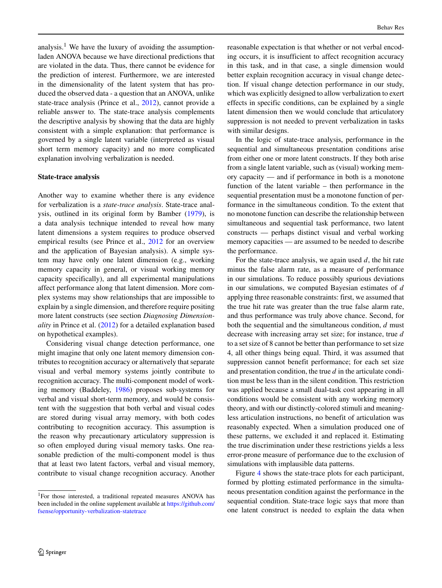Behav Res

analysis.<sup>[1](#page-5-0)</sup> We have the luxury of avoiding the assumptionladen ANOVA because we have directional predictions that are violated in the data. Thus, there cannot be evidence for the prediction of interest. Furthermore, we are interested in the dimensionality of the latent system that has produced the observed data - a question that an ANOVA, unlike state-trace analysis (Prince et al., [2012\)](#page-9-26), cannot provide a reliable answer to. The state-trace analysis complements the descriptive analysis by showing that the data are highly consistent with a simple explanation: that performance is governed by a single latent variable (interpreted as visual short term memory capacity) and no more complicated explanation involving verbalization is needed.

## **State-trace analysis**

Another way to examine whether there is any evidence for verbalization is a *state-trace analysis*. State-trace analysis, outlined in its original form by Bamber [\(1979\)](#page-8-8), is a data analysis technique intended to reveal how many latent dimensions a system requires to produce observed empirical results (see Prince et al., [2012](#page-9-26) for an overview and the application of Bayesian analysis). A simple system may have only one latent dimension (e.g., working memory capacity in general, or visual working memory capacity specifically), and all experimental manipulations affect performance along that latent dimension. More complex systems may show relationships that are impossible to explain by a single dimension, and therefore require positing more latent constructs (see section *Diagnosing Dimensionality* in Prince et al. [\(2012\)](#page-9-26) for a detailed explanation based on hypothetical examples).

Considering visual change detection performance, one might imagine that only one latent memory dimension contributes to recognition accuracy or alternatively that separate visual and verbal memory systems jointly contribute to recognition accuracy. The multi-component model of working memory (Baddeley, [1986\)](#page-8-1) proposes sub-systems for verbal and visual short-term memory, and would be consistent with the suggestion that both verbal and visual codes are stored during visual array memory, with both codes contributing to recognition accuracy. This assumption is the reason why precautionary articulatory suppression is so often employed during visual memory tasks. One reasonable prediction of the multi-component model is thus that at least two latent factors, verbal and visual memory, contribute to visual change recognition accuracy. Another reasonable expectation is that whether or not verbal encoding occurs, it is insufficient to affect recognition accuracy in this task, and in that case, a single dimension would better explain recognition accuracy in visual change detection. If visual change detection performance in our study, which was explicitly designed to allow verbalization to exert effects in specific conditions, can be explained by a single latent dimension then we would conclude that articulatory suppression is not needed to prevent verbalization in tasks with similar designs.

In the logic of state-trace analysis, performance in the sequential and simultaneous presentation conditions arise from either one or more latent constructs. If they both arise from a single latent variable, such as (visual) working memory capacity — and if performance in both is a monotone function of the latent variable – then performance in the sequential presentation must be a monotone function of performance in the simultaneous condition. To the extent that no monotone function can describe the relationship between simultaneous and sequential task performance, two latent constructs — perhaps distinct visual and verbal working memory capacities — are assumed to be needed to describe the performance.

For the state-trace analysis, we again used *d*, the hit rate minus the false alarm rate, as a measure of performance in our simulations. To reduce possibly spurious deviations in our simulations, we computed Bayesian estimates of *d* applying three reasonable constraints: first, we assumed that the true hit rate was greater than the true false alarm rate, and thus performance was truly above chance. Second, for both the sequential and the simultaneous condition, *d* must decrease with increasing array set size; for instance, true *d* to a set size of 8 cannot be better than performance to set size 4, all other things being equal. Third, it was assumed that suppression cannot benefit performance; for each set size and presentation condition, the true *d* in the articulate condition must be less than in the silent condition. This restriction was applied because a small dual-task cost appearing in all conditions would be consistent with any working memory theory, and with our distinctly-colored stimuli and meaningless articulation instructions, no benefit of articulation was reasonably expected. When a simulation produced one of these patterns, we excluded it and replaced it. Estimating the true discrimination under these restrictions yields a less error-prone measure of performance due to the exclusion of simulations with implausible data patterns.

Figure [4](#page-6-0) shows the state-trace plots for each participant, formed by plotting estimated performance in the simultaneous presentation condition against the performance in the sequential condition. State-trace logic says that more than one latent construct is needed to explain the data when

<span id="page-5-0"></span><sup>1</sup>For those interested, a traditional repeated measures ANOVA has been included in the online supplement available at [https://github.com/](https://github.com/fsense/opportunity-verbalization-statetrace) [fsense/opportunity-verbalization-statetrace](https://github.com/fsense/opportunity-verbalization-statetrace)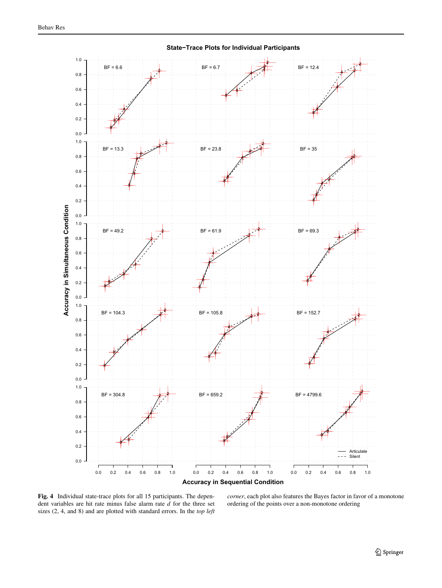<span id="page-6-0"></span>

**State−Trace Plots for Individual Participants**

**Fig. 4** Individual state-trace plots for all 15 participants. The dependent variables are hit rate minus false alarm rate *d* for the three set sizes (2, 4, and 8) and are plotted with standard errors. In the *top left* *corner*, each plot also features the Bayes factor in favor of a monotone ordering of the points over a non-monotone ordering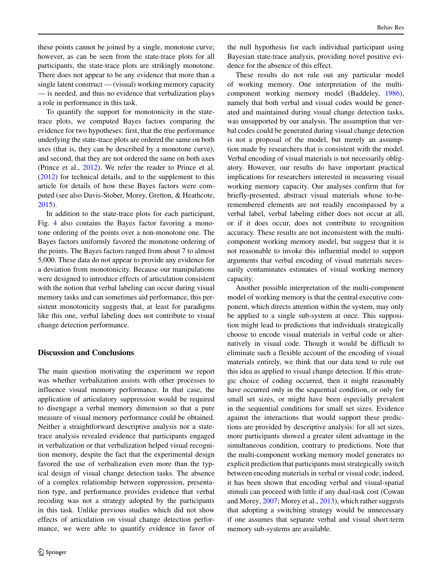these points cannot be joined by a single, monotone curve; however, as can be seen from the state-trace plots for all participants, the state-trace plots are strikingly monotone.

There does not appear to be any evidence that more than a single latent construct — (visual) working memory capacity — is needed, and thus no evidence that verbalization plays a role in performance in this task.

To quantify the support for monotonicity in the statetrace plots, we computed Bayes factors comparing the evidence for two hypotheses: first, that the true performance underlying the state-trace plots are ordered the same on both axes (that is, they can be described by a monotone curve), and second, that they are not ordered the same on both axes (Prince et al., [2012\)](#page-9-26). We refer the reader to Prince et al. [\(2012\)](#page-9-26) for technical details, and to the supplement to this article for details of how these Bayes factors were computed (see also Davis-Stober, Morey, Gretton, & Heathcote, [2015\)](#page-8-9).

In addition to the state-trace plots for each participant, Fig. [4](#page-6-0) also contains the Bayes factor favoring a monotone ordering of the points over a non-monotone one. The Bayes factors uniformly favored the monotone ordering of the points. The Bayes factors ranged from about 7 to almost 5,000. These data do not appear to provide any evidence for a deviation from monotonicity. Because our manipulations were designed to introduce effects of articulation consistent with the notion that verbal labeling can occur during visual memory tasks and can sometimes aid performance, this persistent monotonicity suggests that, at least for paradigms like this one, verbal labeling does not contribute to visual change detection performance.

# **Discussion and Conclusions**

The main question motivating the experiment we report was whether verbalization assists with other processes to influence visual memory performance. In that case, the application of articulatory suppression would be required to disengage a verbal memory dimension so that a pure measure of visual memory performance could be obtained. Neither a straightforward descriptive analysis nor a statetrace analysis revealed evidence that participants engaged in verbalization or that verbalization helped visual recognition memory, despite the fact that the experimental design favored the use of verbalization even more than the typical design of visual change detection tasks. The absence of a complex relationship between suppression, presentation type, and performance provides evidence that verbal recoding was not a strategy adopted by the participants in this task. Unlike previous studies which did not show effects of articulation on visual change detection performance, we were able to quantify evidence in favor of the null hypothesis for each individual participant using Bayesian state-trace analysis, providing novel positive evidence for the absence of this effect.

These results do not rule out any particular model of working memory. One interpretation of the multicomponent working memory model (Baddeley, [1986\)](#page-8-1), namely that both verbal and visual codes would be generated and maintained during visual change detection tasks, was unsupported by our analysis. The assumption that verbal codes could be generated during visual change detection is not a proposal of the model, but merely an assumption made by researchers that is consistent with the model. Verbal encoding of visual materials is not necessarily obligatory. However, our results do have important practical implications for researchers interested in measuring visual working memory capacity. Our analyses confirm that for briefly-presented, abstract visual materials whose to-beremembered elements are not readily encompassed by a verbal label, verbal labeling either does not occur at all, or if it does occur, does not contribute to recognition accuracy. These results are not inconsistent with the multicomponent working memory model, but suggest that it is not reasonable to invoke this influential model to support arguments that verbal encoding of visual materials necessarily contaminates estimates of visual working memory capacity.

Another possible interpretation of the multi-component model of working memory is that the central executive component, which directs attention within the system, may only be applied to a single sub-system at once. This supposition might lead to predictions that individuals strategically choose to encode visual materials in verbal code or alternatively in visual code. Though it would be difficult to eliminate such a flexible account of the encoding of visual materials entirely, we think that our data tend to rule out this idea as applied to visual change detection. If this strategic choice of coding occurred, then it might reasonably have occurred only in the sequential condition, or only for small set sizes, or might have been especially prevalent in the sequential conditions for small set sizes. Evidence against the interactions that would support these predictions are provided by descriptive analysis: for all set sizes, more participants showed a greater silent advantage in the simultaneous condition, contrary to predictions. Note that the multi-component working memory model generates no explicit prediction that participants must strategically switch between encoding materials in verbal or visual code; indeed, it has been shown that encoding verbal and visual-spatial stimuli can proceed with little if any dual-task cost (Cowan and Morey, [2007;](#page-8-10) Morey et al., [2013\)](#page-9-27), which rather suggests that adopting a switching strategy would be unnecessary if one assumes that separate verbal and visual short-term memory sub-systems are available.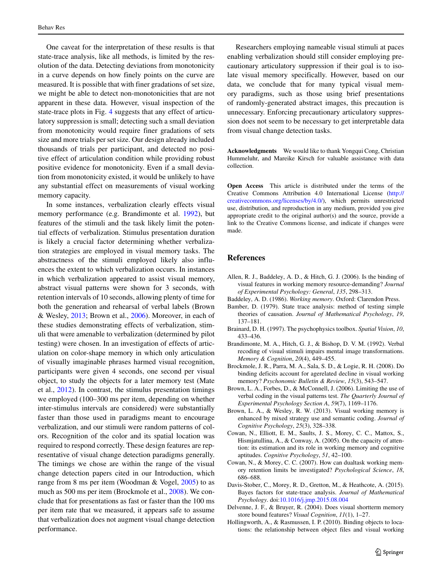One caveat for the interpretation of these results is that state-trace analysis, like all methods, is limited by the resolution of the data. Detecting deviations from monotonicity in a curve depends on how finely points on the curve are measured. It is possible that with finer gradations of set size, we might be able to detect non-monotonicities that are not apparent in these data. However, visual inspection of the state-trace plots in Fig. [4](#page-6-0) suggests that any effect of articulatory suppression is small; detecting such a small deviation from monotonicity would require finer gradations of sets size and more trials per set size. Our design already included thousands of trials per participant, and detected no positive effect of articulation condition while providing robust positive evidence for monotonicity. Even if a small deviation from monotonicity existed, it would be unlikely to have any substantial effect on measurements of visual working memory capacity.

In some instances, verbalization clearly effects visual memory performance (e.g. Brandimonte et al. [1992\)](#page-8-0), but features of the stimuli and the task likely limit the potential effects of verbalization. Stimulus presentation duration is likely a crucial factor determining whether verbalization strategies are employed in visual memory tasks. The abstractness of the stimuli employed likely also influences the extent to which verbalization occurs. In instances in which verbalization appeared to assist visual memory, abstract visual patterns were shown for 3 seconds, with retention intervals of 10 seconds, allowing plenty of time for both the generation and rehearsal of verbal labels (Brown & Wesley, [2013;](#page-8-11) Brown et al., [2006\)](#page-8-12). Moreover, in each of these studies demonstrating effects of verbalization, stimuli that were amenable to verbalization (determined by pilot testing) were chosen. In an investigation of effects of articulation on color-shape memory in which only articulation of visually imaginable phrases harmed visual recognition, participants were given 4 seconds, one second per visual object, to study the objects for a later memory test (Mate et al., [2012\)](#page-9-14). In contrast, the stimulus presentation timings we employed (100–300 ms per item, depending on whether inter-stimulus intervals are considered) were substantially faster than those used in paradigms meant to encourage verbalization, and our stimuli were random patterns of colors. Recognition of the color and its spatial location was required to respond correctly. These design features are representative of visual change detection paradigms generally. The timings we chose are within the range of the visual change detection papers cited in our Introduction, which range from 8 ms per item (Woodman & Vogel, [2005\)](#page-9-11) to as much as 500 ms per item (Brockmole et al., [2008\)](#page-8-3). We conclude that for presentations as fast or faster than the 100 ms per item rate that we measured, it appears safe to assume that verbalization does not augment visual change detection performance.

Researchers employing nameable visual stimuli at paces enabling verbalization should still consider employing precautionary articulatory suppression if their goal is to isolate visual memory specifically. However, based on our data, we conclude that for many typical visual memory paradigms, such as those using brief presentations of randomly-generated abstract images, this precaution is unnecessary. Enforcing precautionary articulatory suppression does not seem to be necessary to get interpretable data from visual change detection tasks.

**Acknowledgments** We would like to thank Yongqui Cong, Christian Hummeluhr, and Mareike Kirsch for valuable assistance with data collection.

**Open Access** This article is distributed under the terms of the Creative Commons Attribution 4.0 International License [\(http://](http://creativecommons.org/licenses/by/4.0/) [creativecommons.org/licenses/by/4.0/\)](http://creativecommons.org/licenses/by/4.0/), which permits unrestricted use, distribution, and reproduction in any medium, provided you give appropriate credit to the original author(s) and the source, provide a link to the Creative Commons license, and indicate if changes were made.

## **References**

- <span id="page-8-2"></span>Allen, R. J., Baddeley, A. D., & Hitch, G. J. (2006). Is the binding of visual features in working memory resource-demanding? *Journal of Experimental Psychology: General*, *135*, 298–313.
- <span id="page-8-1"></span>Baddeley, A. D. (1986). *Working memory*. Oxford: Clarendon Press.
- <span id="page-8-8"></span>Bamber, D. (1979). State trace analysis: method of testing simple theories of causation. *Journal of Mathematical Psychology*, *19*, 137–181.
- <span id="page-8-6"></span>Brainard, D. H. (1997). The psychophysics toolbox. *Spatial Vision*, *10*, 433–436.
- <span id="page-8-0"></span>Brandimonte, M. A., Hitch, G. J., & Bishop, D. V. M. (1992). Verbal recoding of visual stimuli impairs mental image transformations. *Memory & Cognition*, *20*(4), 449–455.
- <span id="page-8-3"></span>Brockmole, J. R., Parra, M. A., Sala, S. D., & Logie, R. H. (2008). Do binding deficits account for agerelated decline in visual working memory? *Psychonomic Bulletin & Review*, *15*(3), 543–547.
- <span id="page-8-12"></span>Brown, L. A., Forbes, D., & McConnell, J. (2006). Limiting the use of verbal coding in the visual patterns test. *The Quarterly Journal of Experimental Psychology Section A*, *59*(7), 1169–1176.
- <span id="page-8-11"></span>Brown, L. A., & Wesley, R. W. (2013). Visual working memory is enhanced by mixed strategy use and semantic coding. *Journal of Cognitive Psychology*, *25*(3), 328–338.
- <span id="page-8-7"></span>Cowan, N., Elliott, E. M., Saults, J. S., Morey, C. C., Mattox, S., Hismjatullina, A., & Conway, A. (2005). On the capacity of attention: its estimation and its role in working memory and cognitive aptitudes. *Cognitive Psychology*, *51*, 42–100.
- <span id="page-8-10"></span>Cowan, N., & Morey, C. C. (2007). How can dualtask working memory retention limits be investigated? *Psychological Science*, *18*, 686–688.
- <span id="page-8-9"></span>Davis-Stober, C., Morey, R. D., Gretton, M., & Heathcote, A. (2015). Bayes factors for state-trace analysis. *Journal of Mathematical Psychology*. doi[:10.1016/j.jmp.2015.08.004](http://dx.doi.org/10.1016/j.jmp.2015.08.004)
- <span id="page-8-4"></span>Delvenne, J. F., & Bruyer, R. (2004). Does visual shortterm memory store bound features? *Visual Cognition*, *11*(1), 1–27.
- <span id="page-8-5"></span>Hollingworth, A., & Rasmussen, I. P. (2010). Binding objects to locations: the relationship between object files and visual working